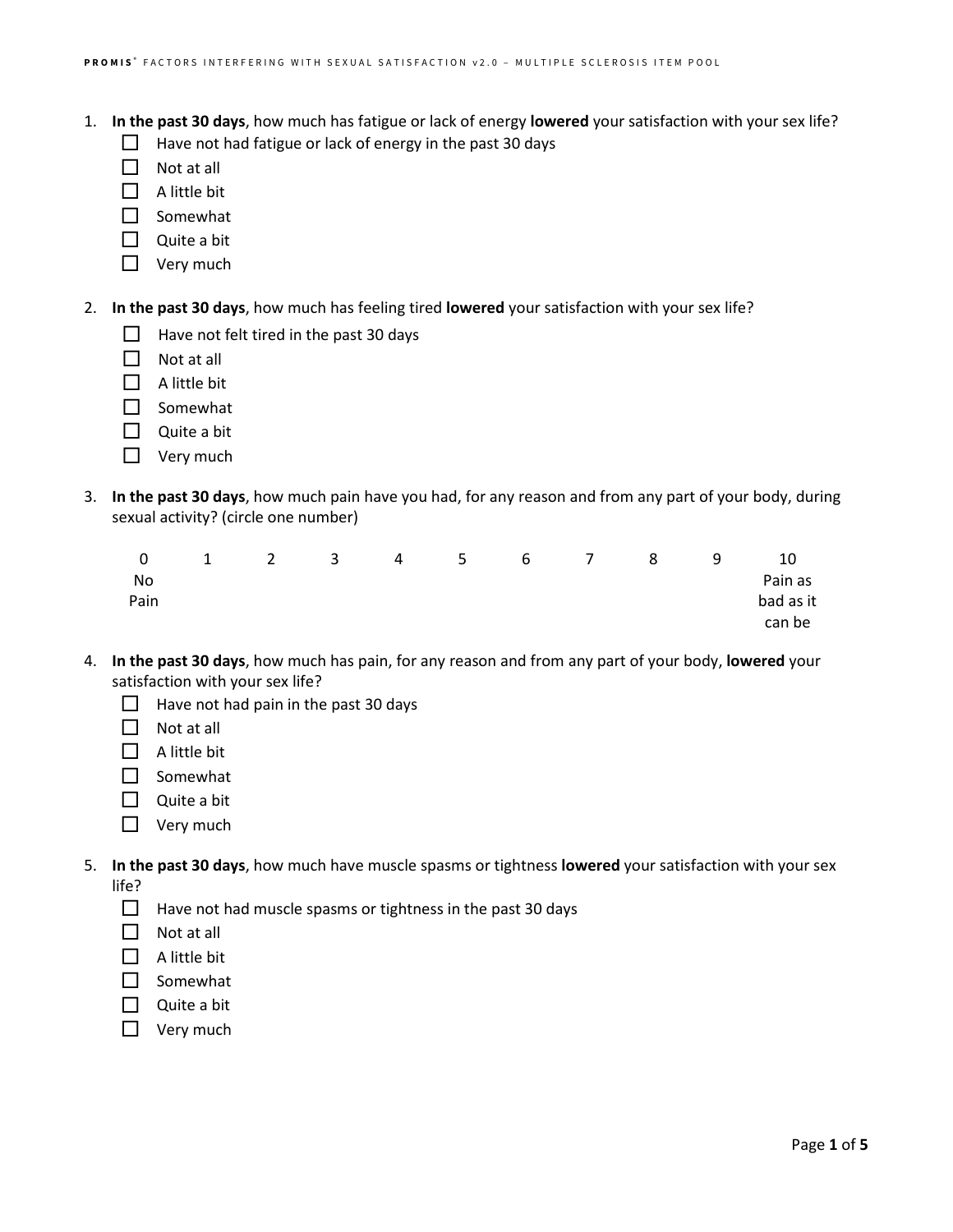- 1. **In the past 30 days**, how much has fatigue or lack of energy **lowered** your satisfaction with your sex life?
	- $\Box$  Have not had fatigue or lack of energy in the past 30 days
	- $\Box$  Not at all
	- $\Box$  A little bit
	- $\Box$  Somewhat
	- $\Box$  Quite a bit
	- $\Box$  Very much
- 2. **In the past 30 days**, how much has feeling tired **lowered** your satisfaction with your sex life?
	- $\Box$  Have not felt tired in the past 30 days
	- $\Box$  Not at all
	- $\Box$  A little bit
	- □ Somewhat
	- $\Box$  Quite a bit
	- $\Box$  Very much
- 3. **In the past 30 days**, how much pain have you had, for any reason and from any part of your body, during sexual activity? (circle one number)

| $\overline{0}$ |  |  | 1 2 3 4 5 6 7 8 |  | q | 10        |
|----------------|--|--|-----------------|--|---|-----------|
| No             |  |  |                 |  |   | Pain as   |
| Pain           |  |  |                 |  |   | bad as it |
|                |  |  |                 |  |   | can be    |

- 4. **In the past 30 days**, how much has pain, for any reason and from any part of your body, **lowered** your satisfaction with your sex life?
	- $\Box$  Have not had pain in the past 30 days
	- $\Box$  Not at all
	- $\Box$  A little bit
	- $\Box$  Somewhat
	- $\Box$  Quite a bit
	- □ Very much
- 5. **In the past 30 days**, how much have muscle spasms or tightness **lowered** your satisfaction with your sex life?
	- $\Box$  Have not had muscle spasms or tightness in the past 30 days
	- $\Box$  Not at all
	- $\Box$  A little bit
	- $\Box$  Somewhat
	- $\Box$  Quite a bit
	- $\Box$  Very much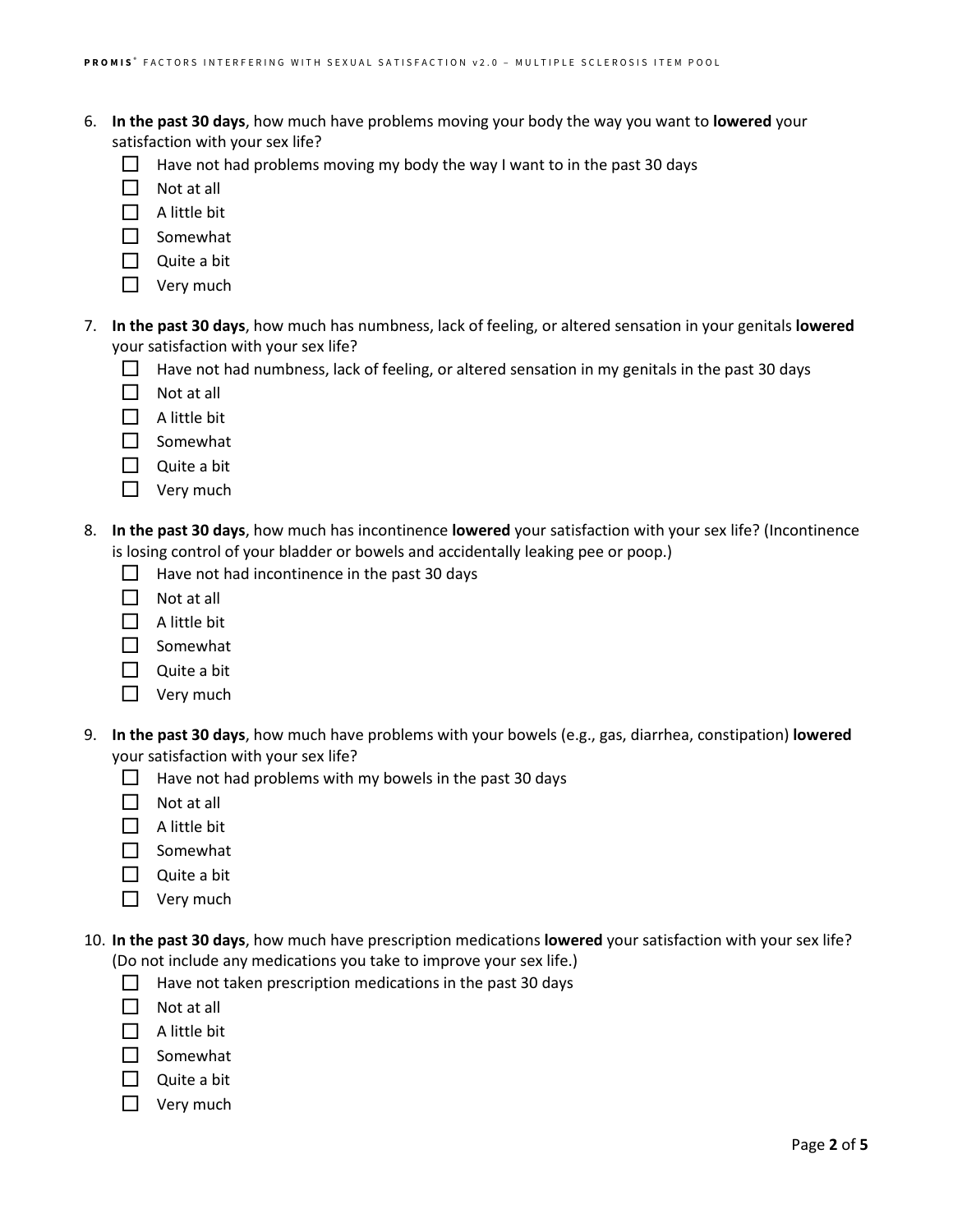- 6. **In the past 30 days**, how much have problems moving your body the way you want to **lowered** your satisfaction with your sex life?
	- Have not had problems moving my body the way I want to in the past 30 days
	- $\Box$  Not at all
	- $\Box$  A little bit
	- $\Box$  Somewhat
	- $\Box$  Quite a bit
	- $\Box$  Very much
- 7. **In the past 30 days**, how much has numbness, lack of feeling, or altered sensation in your genitals **lowered** your satisfaction with your sex life?
	- $\Box$  Have not had numbness, lack of feeling, or altered sensation in my genitals in the past 30 days
	- $\Box$  Not at all
	- $\Box$  A little bit
	- $\Box$  Somewhat
	- $\Box$  Quite a bit
	- $\Box$  Very much
- 8. **In the past 30 days**, how much has incontinence **lowered** your satisfaction with your sex life? (Incontinence is losing control of your bladder or bowels and accidentally leaking pee or poop.)
	- $\Box$  Have not had incontinence in the past 30 days
	- $\Box$  Not at all
	- $\Box$  A little bit
	- $\Box$  Somewhat
	- $\Box$  Quite a bit
	- $\Box$  Very much
- 9. **In the past 30 days**, how much have problems with your bowels (e.g., gas, diarrhea, constipation) **lowered** your satisfaction with your sex life?
	- $\Box$  Have not had problems with my bowels in the past 30 days
	- $\Box$  Not at all
	- $\Box$  A little bit
	- $\Box$  Somewhat
	- $\Box$  Quite a bit
	- $\Box$  Very much
- 10. **In the past 30 days**, how much have prescription medications **lowered** your satisfaction with your sex life? (Do not include any medications you take to improve your sex life.)
	- $\Box$  Have not taken prescription medications in the past 30 days
	- $\Box$  Not at all
	- $\Box$  A little bit
	- $\Box$  Somewhat
	- $\Box$  Quite a bit
	- $\Box$  Very much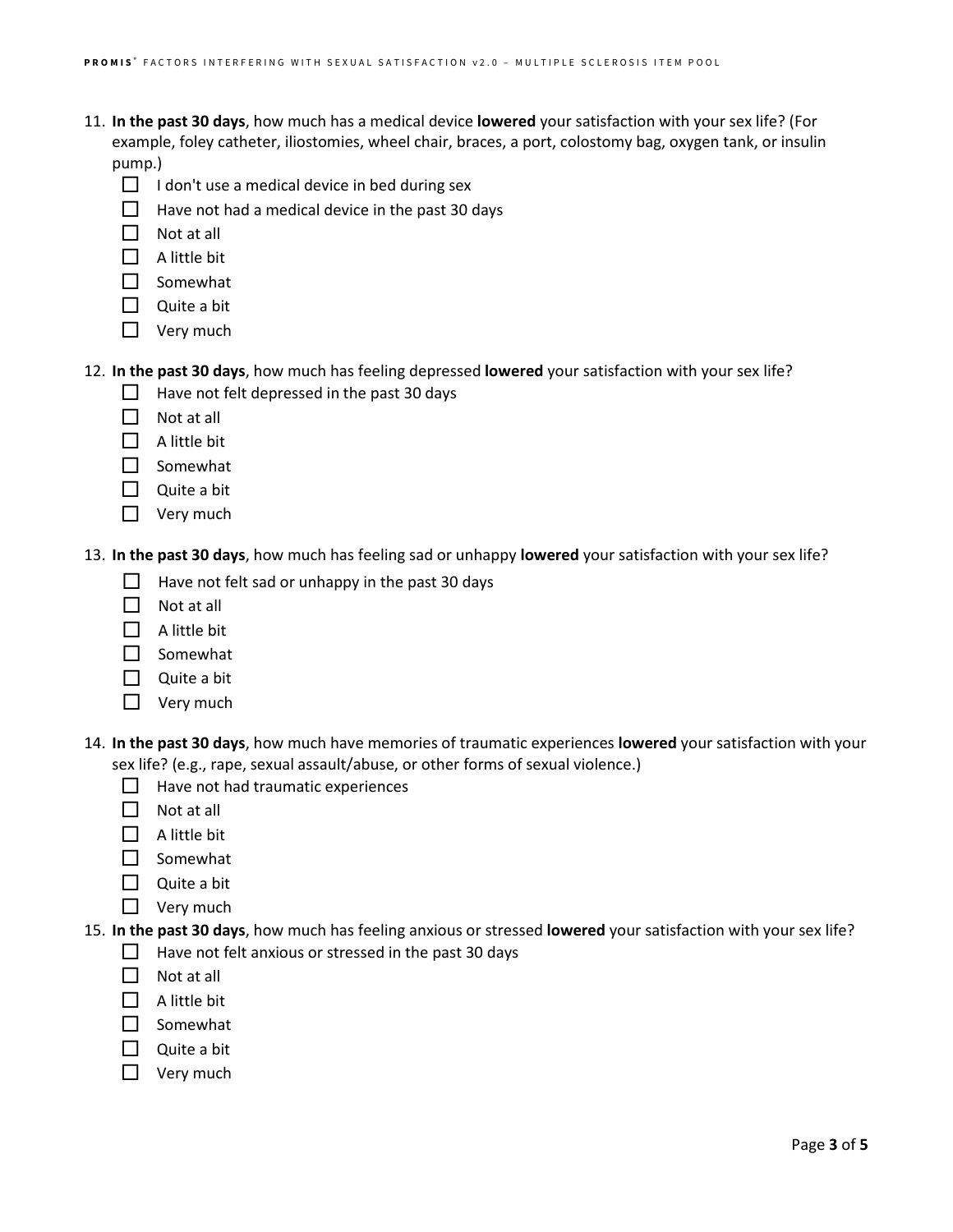- 11. **In the past 30 days**, how much has a medical device **lowered** your satisfaction with your sex life? (For example, foley catheter, iliostomies, wheel chair, braces, a port, colostomy bag, oxygen tank, or insulin pump.)
	- $\Box$  I don't use a medical device in bed during sex
	- $\Box$  Have not had a medical device in the past 30 days
	- $\Box$  Not at all
	- $\Box$  A little bit
	- $\square$  Somewhat
	- $\Box$  Quite a bit
	- $\Box$  Very much

12. **In the past 30 days**, how much has feeling depressed **lowered** your satisfaction with your sex life?

- $\Box$  Have not felt depressed in the past 30 days
- $\Box$  Not at all
- $\Box$  A little bit
- $\Box$  Somewhat
- $\Box$  Quite a bit
- $\Box$  Very much

13. **In the past 30 days**, how much has feeling sad or unhappy **lowered** your satisfaction with your sex life?

- $\Box$  Have not felt sad or unhappy in the past 30 days
- $\Box$  Not at all
- $\Box$  A little bit
- $\Box$  Somewhat
- $\Box$  Quite a bit
- $\Box$  Very much
- 14. **In the past 30 days**, how much have memories of traumatic experiences **lowered** your satisfaction with your sex life? (e.g., rape, sexual assault/abuse, or other forms of sexual violence.)
	- $\Box$  Have not had traumatic experiences
	- $\Box$  Not at all
	- $\Box$  A little bit
	- $\Box$  Somewhat
	- $\Box$  Quite a bit
	- $\Box$  Very much
- 15. **In the past 30 days**, how much has feeling anxious or stressed **lowered** your satisfaction with your sex life?
	- $\Box$  Have not felt anxious or stressed in the past 30 days
	- $\Box$  Not at all
	- $\Box$  A little bit
	- $\Box$  Somewhat
	- $\Box$  Quite a bit
	- $\Box$  Very much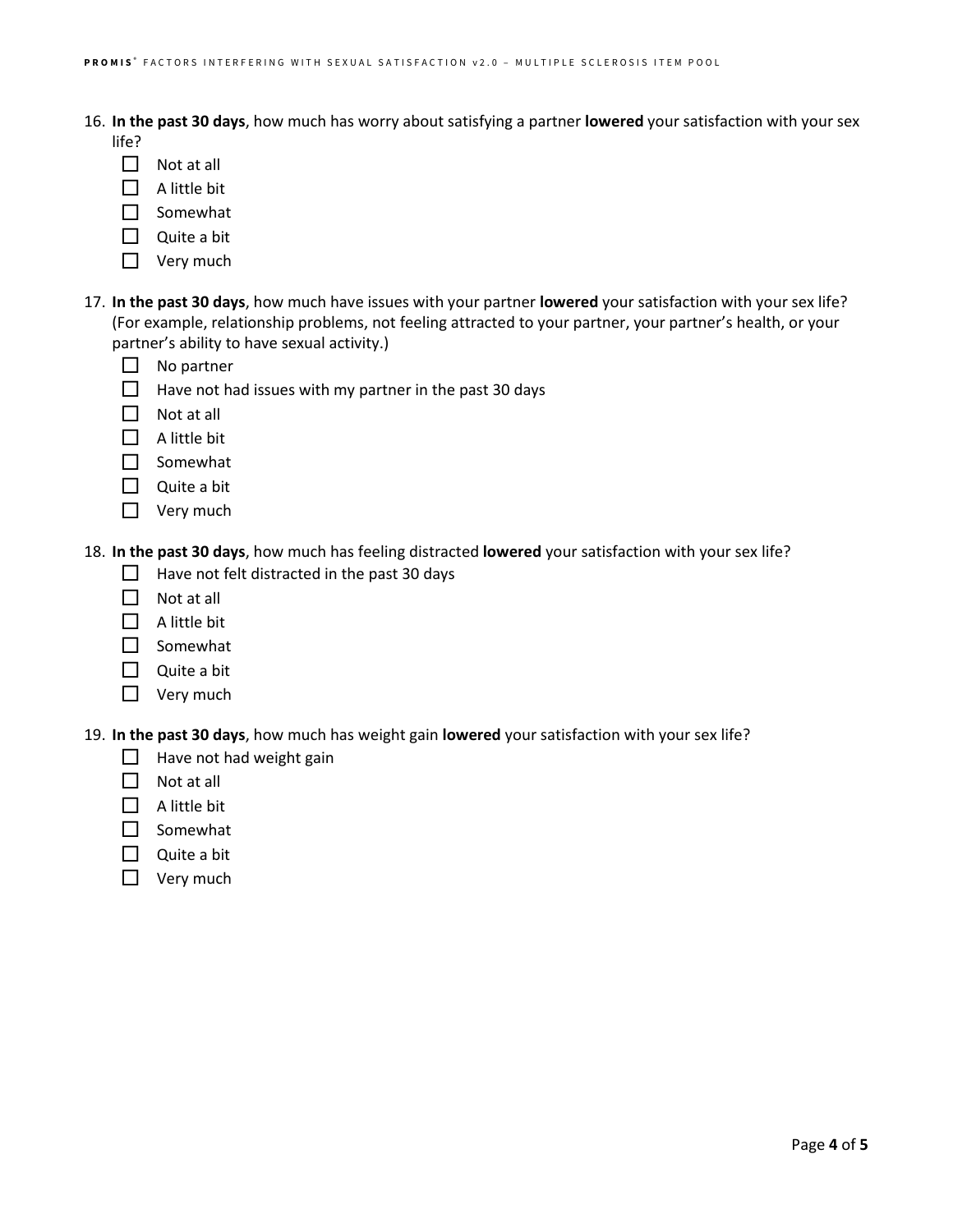16. **In the past 30 days**, how much has worry about satisfying a partner **lowered** your satisfaction with your sex

- life?
	- $\Box$  Not at all
	- $\Box$  A little bit
- $\Box$  Somewhat
- Quite a bit
- $\Box$  Very much
- 17. **In the past 30 days**, how much have issues with your partner **lowered** your satisfaction with your sex life? (For example, relationship problems, not feeling attracted to your partner, your partner's health, or your partner's ability to have sexual activity.)
	- $\Box$  No partner
	- $\Box$  Have not had issues with my partner in the past 30 days
	- $\Box$  Not at all
	- $\Box$  A little bit
	- $\square$  Somewhat
	- $\Box$  Quite a bit
	- $\Box$  Very much

18. **In the past 30 days**, how much has feeling distracted **lowered** your satisfaction with your sex life?

- $\Box$  Have not felt distracted in the past 30 days
- $\Box$  Not at all
- $\Box$  A little bit
- $\Box$  Somewhat
- $\Box$  Quite a bit
- $\Box$  Very much

19. **In the past 30 days**, how much has weight gain **lowered** your satisfaction with your sex life?

- $\Box$  Have not had weight gain
- $\Box$  Not at all
- $\Box$  A little bit
- $\square$  Somewhat
- Quite a bit
- $\Box$  Very much